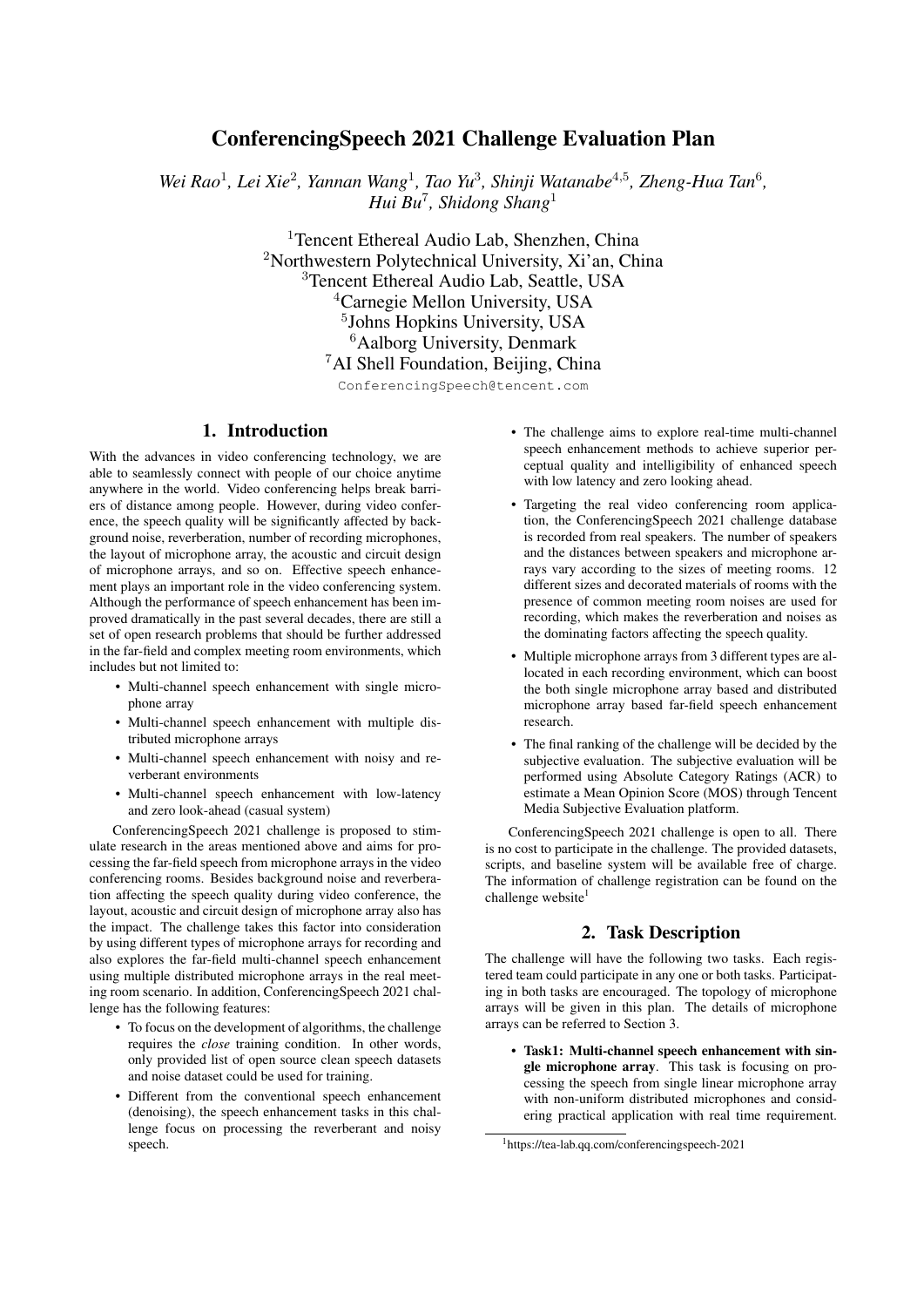# ConferencingSpeech 2021 Challenge Evaluation Plan

Wei Rao<sup>1</sup>, Lei Xie<sup>2</sup>, Yannan Wang<sup>1</sup>, Tao Yu<sup>3</sup>, Shinji Watanabe<sup>4,5</sup>, Zheng-Hua Tan<sup>6</sup>, *Hui Bu*<sup>7</sup> *, Shidong Shang*<sup>1</sup>

> <sup>1</sup>Tencent Ethereal Audio Lab, Shenzhen, China Northwestern Polytechnical University, Xi'an, China Tencent Ethereal Audio Lab, Seattle, USA Carnegie Mellon University, USA Johns Hopkins University, USA <sup>6</sup>Aalborg University, Denmark AI Shell Foundation, Beijing, China

> > ConferencingSpeech@tencent.com

## 1. Introduction

With the advances in video conferencing technology, we are able to seamlessly connect with people of our choice anytime anywhere in the world. Video conferencing helps break barriers of distance among people. However, during video conference, the speech quality will be significantly affected by background noise, reverberation, number of recording microphones, the layout of microphone array, the acoustic and circuit design of microphone arrays, and so on. Effective speech enhancement plays an important role in the video conferencing system. Although the performance of speech enhancement has been improved dramatically in the past several decades, there are still a set of open research problems that should be further addressed in the far-field and complex meeting room environments, which includes but not limited to:

- Multi-channel speech enhancement with single microphone array
- Multi-channel speech enhancement with multiple distributed microphone arrays
- Multi-channel speech enhancement with noisy and reverberant environments
- Multi-channel speech enhancement with low-latency and zero look-ahead (casual system)

ConferencingSpeech 2021 challenge is proposed to stimulate research in the areas mentioned above and aims for processing the far-field speech from microphone arrays in the video conferencing rooms. Besides background noise and reverberation affecting the speech quality during video conference, the layout, acoustic and circuit design of microphone array also has the impact. The challenge takes this factor into consideration by using different types of microphone arrays for recording and also explores the far-field multi-channel speech enhancement using multiple distributed microphone arrays in the real meeting room scenario. In addition, ConferencingSpeech 2021 challenge has the following features:

- To focus on the development of algorithms, the challenge requires the *close* training condition. In other words, only provided list of open source clean speech datasets and noise dataset could be used for training.
- Different from the conventional speech enhancement (denoising), the speech enhancement tasks in this challenge focus on processing the reverberant and noisy speech.
- The challenge aims to explore real-time multi-channel speech enhancement methods to achieve superior perceptual quality and intelligibility of enhanced speech with low latency and zero looking ahead.
- Targeting the real video conferencing room application, the ConferencingSpeech 2021 challenge database is recorded from real speakers. The number of speakers and the distances between speakers and microphone arrays vary according to the sizes of meeting rooms. 12 different sizes and decorated materials of rooms with the presence of common meeting room noises are used for recording, which makes the reverberation and noises as the dominating factors affecting the speech quality.
- Multiple microphone arrays from 3 different types are allocated in each recording environment, which can boost the both single microphone array based and distributed microphone array based far-field speech enhancement research.
- The final ranking of the challenge will be decided by the subjective evaluation. The subjective evaluation will be performed using Absolute Category Ratings (ACR) to estimate a Mean Opinion Score (MOS) through Tencent Media Subjective Evaluation platform.

ConferencingSpeech 2021 challenge is open to all. There is no cost to participate in the challenge. The provided datasets, scripts, and baseline system will be available free of charge. The information of challenge registration can be found on the challenge website $1$ 

## 2. Task Description

The challenge will have the following two tasks. Each registered team could participate in any one or both tasks. Participating in both tasks are encouraged. The topology of microphone arrays will be given in this plan. The details of microphone arrays can be referred to Section 3.

• Task1: Multi-channel speech enhancement with single microphone array. This task is focusing on processing the speech from single linear microphone array with non-uniform distributed microphones and considering practical application with real time requirement.

<sup>1</sup>https://tea-lab.qq.com/conferencingspeech-2021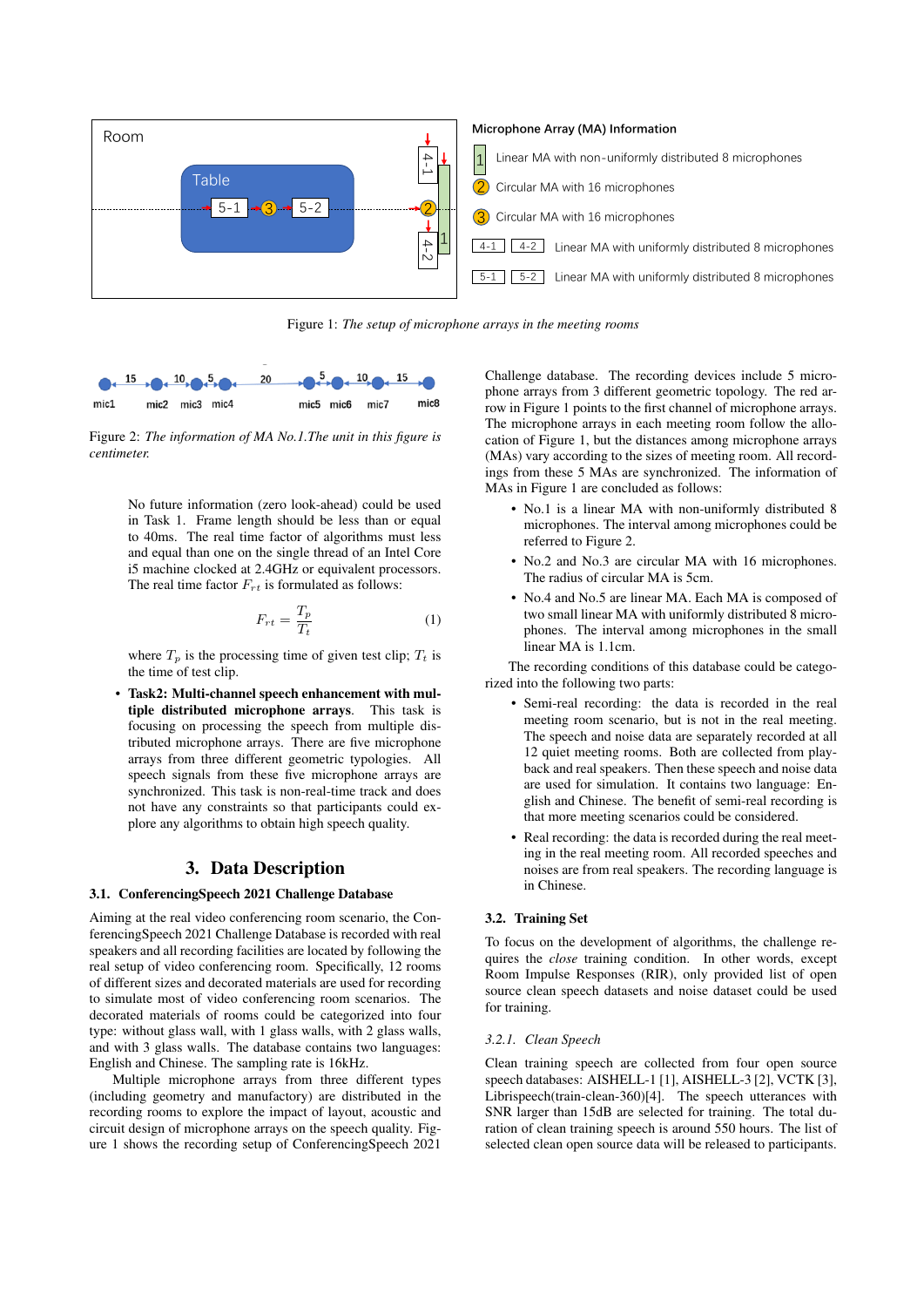

Figure 1: *The setup of microphone arrays in the meeting rooms*



Figure 2: *The information of MA No.1.The unit in this figure is centimeter.*

No future information (zero look-ahead) could be used in Task 1. Frame length should be less than or equal to 40ms. The real time factor of algorithms must less and equal than one on the single thread of an Intel Core i5 machine clocked at 2.4GHz or equivalent processors. The real time factor  $F_{rt}$  is formulated as follows:

$$
F_{rt} = \frac{T_p}{T_t} \tag{1}
$$

where  $T_p$  is the processing time of given test clip;  $T_t$  is the time of test clip.

• Task2: Multi-channel speech enhancement with multiple distributed microphone arrays. This task is focusing on processing the speech from multiple distributed microphone arrays. There are five microphone arrays from three different geometric typologies. All speech signals from these five microphone arrays are synchronized. This task is non-real-time track and does not have any constraints so that participants could explore any algorithms to obtain high speech quality.

## 3. Data Description

## 3.1. ConferencingSpeech 2021 Challenge Database

Aiming at the real video conferencing room scenario, the ConferencingSpeech 2021 Challenge Database is recorded with real speakers and all recording facilities are located by following the real setup of video conferencing room. Specifically, 12 rooms of different sizes and decorated materials are used for recording to simulate most of video conferencing room scenarios. The decorated materials of rooms could be categorized into four type: without glass wall, with 1 glass walls, with 2 glass walls, and with 3 glass walls. The database contains two languages: English and Chinese. The sampling rate is 16kHz.

Multiple microphone arrays from three different types (including geometry and manufactory) are distributed in the recording rooms to explore the impact of layout, acoustic and circuit design of microphone arrays on the speech quality. Figure 1 shows the recording setup of ConferencingSpeech 2021

Challenge database. The recording devices include 5 microphone arrays from 3 different geometric topology. The red arrow in Figure 1 points to the first channel of microphone arrays. The microphone arrays in each meeting room follow the allocation of Figure 1, but the distances among microphone arrays (MAs) vary according to the sizes of meeting room. All recordings from these 5 MAs are synchronized. The information of MAs in Figure 1 are concluded as follows:

- No.1 is a linear MA with non-uniformly distributed 8 microphones. The interval among microphones could be referred to Figure 2.
- No.2 and No.3 are circular MA with 16 microphones. The radius of circular MA is 5cm.
- No.4 and No.5 are linear MA. Each MA is composed of two small linear MA with uniformly distributed 8 microphones. The interval among microphones in the small linear MA is 1.1cm.

The recording conditions of this database could be categorized into the following two parts:

- Semi-real recording: the data is recorded in the real meeting room scenario, but is not in the real meeting. The speech and noise data are separately recorded at all 12 quiet meeting rooms. Both are collected from playback and real speakers. Then these speech and noise data are used for simulation. It contains two language: English and Chinese. The benefit of semi-real recording is that more meeting scenarios could be considered.
- Real recording: the data is recorded during the real meeting in the real meeting room. All recorded speeches and noises are from real speakers. The recording language is in Chinese.

#### 3.2. Training Set

To focus on the development of algorithms, the challenge requires the *close* training condition. In other words, except Room Impulse Responses (RIR), only provided list of open source clean speech datasets and noise dataset could be used for training.

### *3.2.1. Clean Speech*

Clean training speech are collected from four open source speech databases: AISHELL-1 [1], AISHELL-3 [2], VCTK [3], Librispeech(train-clean-360)[4]. The speech utterances with SNR larger than 15dB are selected for training. The total duration of clean training speech is around 550 hours. The list of selected clean open source data will be released to participants.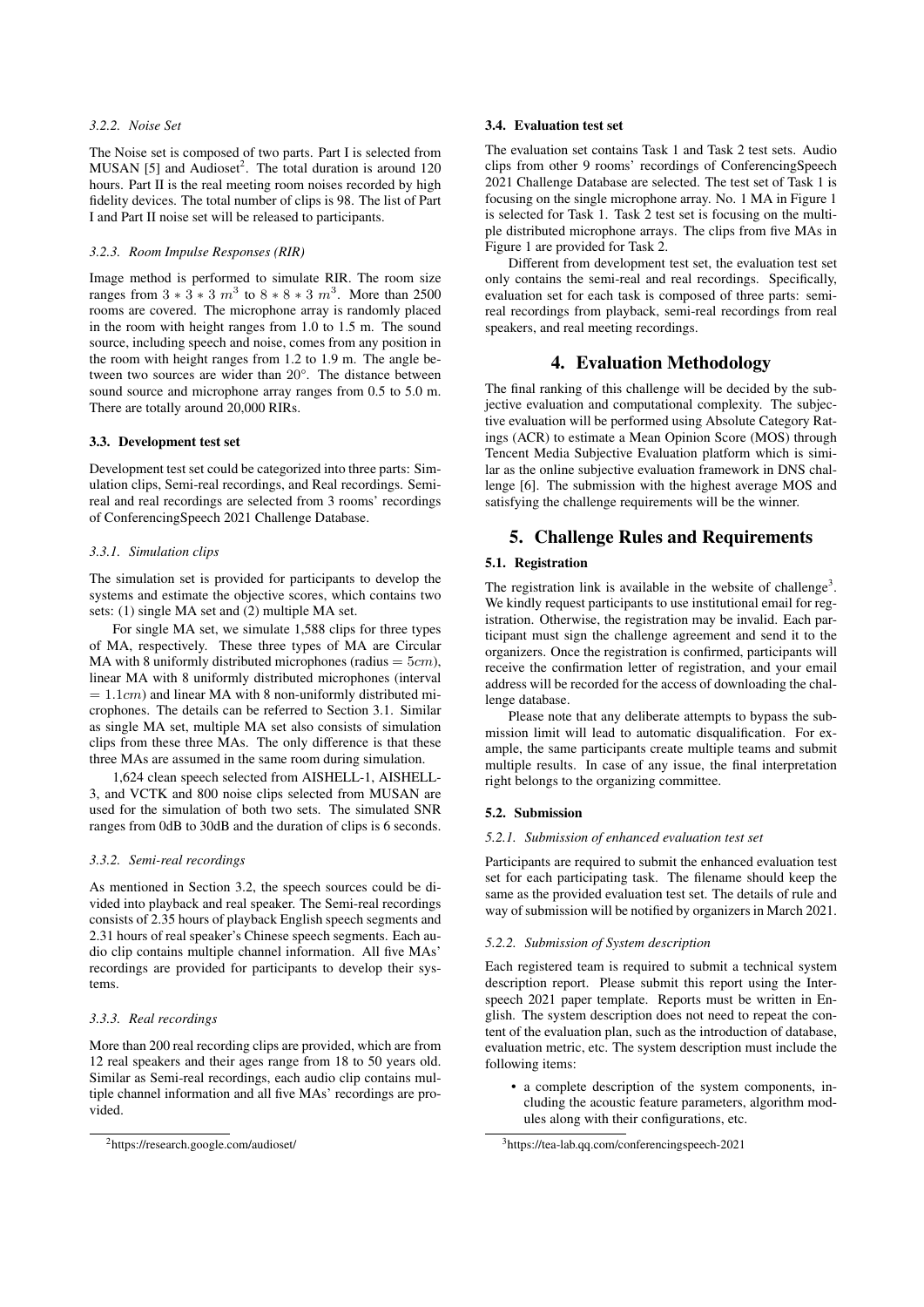### *3.2.2. Noise Set*

The Noise set is composed of two parts. Part I is selected from MUSAN [5] and Audioset<sup>2</sup>. The total duration is around  $120$ hours. Part II is the real meeting room noises recorded by high fidelity devices. The total number of clips is 98. The list of Part I and Part II noise set will be released to participants.

#### *3.2.3. Room Impulse Responses (RIR)*

Image method is performed to simulate RIR. The room size ranges from  $3 * 3 * 3 m^3$  to  $8 * 8 * 3 m^3$ . More than 2500 rooms are covered. The microphone array is randomly placed in the room with height ranges from 1.0 to 1.5 m. The sound source, including speech and noise, comes from any position in the room with height ranges from 1.2 to 1.9 m. The angle between two sources are wider than 20°. The distance between sound source and microphone array ranges from 0.5 to 5.0 m. There are totally around 20,000 RIRs.

#### 3.3. Development test set

Development test set could be categorized into three parts: Simulation clips, Semi-real recordings, and Real recordings. Semireal and real recordings are selected from 3 rooms' recordings of ConferencingSpeech 2021 Challenge Database.

#### *3.3.1. Simulation clips*

The simulation set is provided for participants to develop the systems and estimate the objective scores, which contains two sets: (1) single MA set and (2) multiple MA set.

For single MA set, we simulate 1,588 clips for three types of MA, respectively. These three types of MA are Circular MA with 8 uniformly distributed microphones (radius  $= 5cm$ ), linear MA with 8 uniformly distributed microphones (interval  $= 1.1$ *cm*) and linear MA with 8 non-uniformly distributed microphones. The details can be referred to Section 3.1. Similar as single MA set, multiple MA set also consists of simulation clips from these three MAs. The only difference is that these three MAs are assumed in the same room during simulation.

1,624 clean speech selected from AISHELL-1, AISHELL-3, and VCTK and 800 noise clips selected from MUSAN are used for the simulation of both two sets. The simulated SNR ranges from 0dB to 30dB and the duration of clips is 6 seconds.

### *3.3.2. Semi-real recordings*

As mentioned in Section 3.2, the speech sources could be divided into playback and real speaker. The Semi-real recordings consists of 2.35 hours of playback English speech segments and 2.31 hours of real speaker's Chinese speech segments. Each audio clip contains multiple channel information. All five MAs' recordings are provided for participants to develop their systems.

#### *3.3.3. Real recordings*

More than 200 real recording clips are provided, which are from 12 real speakers and their ages range from 18 to 50 years old. Similar as Semi-real recordings, each audio clip contains multiple channel information and all five MAs' recordings are provided.

### 3.4. Evaluation test set

The evaluation set contains Task 1 and Task 2 test sets. Audio clips from other 9 rooms' recordings of ConferencingSpeech 2021 Challenge Database are selected. The test set of Task 1 is focusing on the single microphone array. No. 1 MA in Figure 1 is selected for Task 1. Task 2 test set is focusing on the multiple distributed microphone arrays. The clips from five MAs in Figure 1 are provided for Task 2.

Different from development test set, the evaluation test set only contains the semi-real and real recordings. Specifically, evaluation set for each task is composed of three parts: semireal recordings from playback, semi-real recordings from real speakers, and real meeting recordings.

## 4. Evaluation Methodology

The final ranking of this challenge will be decided by the subjective evaluation and computational complexity. The subjective evaluation will be performed using Absolute Category Ratings (ACR) to estimate a Mean Opinion Score (MOS) through Tencent Media Subjective Evaluation platform which is similar as the online subjective evaluation framework in DNS challenge [6]. The submission with the highest average MOS and satisfying the challenge requirements will be the winner.

## 5. Challenge Rules and Requirements

### 5.1. Registration

The registration link is available in the website of challenge<sup>3</sup>. We kindly request participants to use institutional email for registration. Otherwise, the registration may be invalid. Each participant must sign the challenge agreement and send it to the organizers. Once the registration is confirmed, participants will receive the confirmation letter of registration, and your email address will be recorded for the access of downloading the challenge database.

Please note that any deliberate attempts to bypass the submission limit will lead to automatic disqualification. For example, the same participants create multiple teams and submit multiple results. In case of any issue, the final interpretation right belongs to the organizing committee.

### 5.2. Submission

### *5.2.1. Submission of enhanced evaluation test set*

Participants are required to submit the enhanced evaluation test set for each participating task. The filename should keep the same as the provided evaluation test set. The details of rule and way of submission will be notified by organizers in March 2021.

### *5.2.2. Submission of System description*

Each registered team is required to submit a technical system description report. Please submit this report using the Interspeech 2021 paper template. Reports must be written in English. The system description does not need to repeat the content of the evaluation plan, such as the introduction of database, evaluation metric, etc. The system description must include the following items:

• a complete description of the system components, including the acoustic feature parameters, algorithm modules along with their configurations, etc.

<sup>2</sup>https://research.google.com/audioset/

<sup>3</sup>https://tea-lab.qq.com/conferencingspeech-2021